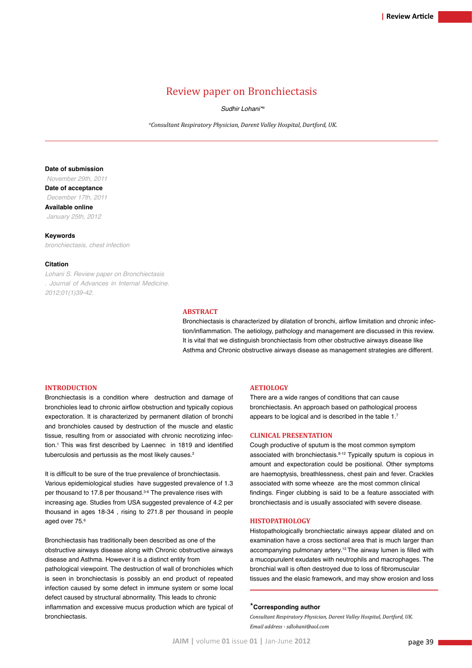# Review paper on Bronchiectasis

 *Sudhir Lohani\*a*

 *a Consultant Respiratory Physician, Darent Valley Hospital, Dartford, UK.*

## **Date of submission**

 *November 29th, 2011* **Date of acceptance**  *December 17th, 2011*

**Available online**

 *January 25th, 2012*

## **Keywords**

*bronchiectasis, chest infection*

#### **Citation**

*Lohani S. Review paper on Bronchiectasis . Journal of Advances in Internal Medicine. 2012;01(1)39-42.*

#### **Abstract**

Bronchiectasis is characterized by dilatation of bronchi, airflow limitation and chronic infection/inflammation. The aetiology, pathology and management are discussed in this review. It is vital that we distinguish bronchiectasis from other obstructive airways disease like Asthma and Chronic obstructive airways disease as management strategies are different.

#### **Introduction**

Bronchiectasis is a condition where destruction and damage of bronchioles lead to chronic airflow obstruction and typically copious expectoration. It is characterized by permanent dilation of bronchi and bronchioles caused by destruction of the muscle and elastic tissue, resulting from or associated with chronic necrotizing infection.1 This was first described by Laennec in 1819 and identified tuberculosis and pertussis as the most likely causes.<sup>2</sup>

It is difficult to be sure of the true prevalence of bronchiectasis. Various epidemiological studies have suggested prevalence of 1.3 per thousand to 17.8 per thousand.3-6 The prevalence rises with increasing age. Studies from USA suggested prevalence of 4.2 per thousand in ages 18-34 , rising to 271.8 per thousand in people aged over 75.<sup>6</sup>

Bronchiectasis has traditionally been described as one of the obstructive airways disease along with Chronic obstructive airways disease and Asthma. However it is a distinct entity from pathological viewpoint. The destruction of wall of bronchioles which is seen in bronchiectasis is possibly an end product of repeated infection caused by some defect in immune system or some local defect caused by structural abnormality. This leads to chronic inflammation and excessive mucus production which are typical of bronchiectasis.

## **Aetiology**

There are a wide ranges of conditions that can cause bronchiectasis. An approach based on pathological process appears to be logical and is described in the table 1.7

## **Clinical presentation**

Cough productive of sputum is the most common symptom associated with bronchiectasis.<sup>8-12</sup> Typically sputum is copious in amount and expectoration could be positional. Other symptoms are haemoptysis, breathlessness, chest pain and fever. Crackles associated with some wheeze are the most common clinical findings. Finger clubbing is said to be a feature associated with bronchiectasis and is usually associated with severe disease.

#### **HISTOPathology**

Histopathologically bronchiectatic airways appear dilated and on examination have a cross sectional area that is much larger than accompanying pulmonary artery.<sup>13</sup> The airway lumen is filled with a mucopurulent exudates with neutrophils and macrophages. The bronchial wall is often destroyed due to loss of fibromuscular tissues and the elasic framework, and may show erosion and loss

## \***Corresponding author**

*Consultant Respiratory Physician, Darent Valley Hospital, Dartford, UK. Email address - sdlohani@aol.com*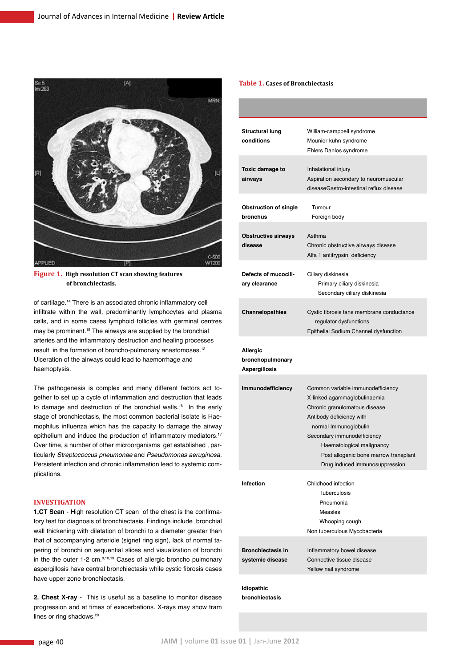

**Figure 1. High resolution CT scan showing features of bronchiectasis.**

of cartilage.14 There is an associated chronic inflammatory cell infiltrate within the wall, predominantly lymphocytes and plasma cells, and in some cases lymphoid follicles with germinal centres may be prominent.15 The airways are supplied by the bronchial arteries and the inflammatory destruction and healing processes result in the formation of broncho-pulmonary anastomoses.<sup>12</sup> Ulceration of the airways could lead to haemorrhage and haemoptysis.

The pathogenesis is complex and many different factors act together to set up a cycle of inflammation and destruction that leads to damage and destruction of the bronchial walls.<sup>16</sup> In the early stage of bronchiectasis, the most common bacterial isolate is Haemophilus influenza which has the capacity to damage the airway epithelium and induce the production of inflammatory mediators.<sup>17</sup> Over time, a number of other microorganisms get established , particularly *Streptococcus pneumonae* and *Pseudomonas aeruginosa.* Persistent infection and chronic inflammation lead to systemic complications.

## **Investigation**

**1.CT Scan** - High resolution CT scan of the chest is the confirmatory test for diagnosis of bronchiectasis. Findings include bronchial wall thickening with dilatation of bronchi to a diameter greater than that of accompanying arteriole (signet ring sign), lack of normal tapering of bronchi on sequential slices and visualization of bronchi in the the outer  $1-2$  cm. $8,18,19$  Cases of allergic broncho pulmonary aspergillosis have central bronchiectasis while cystic fibrosis cases have upper zone bronchiectasis.

**2. Chest X-ray** - This is useful as a baseline to monitor disease progression and at times of exacerbations. X-rays may show tram lines or ring shadows.<sup>20</sup>

## **Table 1. Cases of Bronchiectasis**

| <b>Structural lung</b><br>conditions                 | William-campbell syndrome<br>Mounier-kuhn syndrome<br>Ehlers Danlos syndrome                                                                                                                                                                                                                   |
|------------------------------------------------------|------------------------------------------------------------------------------------------------------------------------------------------------------------------------------------------------------------------------------------------------------------------------------------------------|
| Toxic damage to<br>airways                           | Inhalational injury<br>Aspiration secondary to neuromuscular<br>diseaseGastro-intestinal reflux disease                                                                                                                                                                                        |
| <b>Obstruction of single</b><br>bronchus             | Tumour<br>Foreign body                                                                                                                                                                                                                                                                         |
| <b>Obstructive airways</b><br>disease                | Asthma<br>Chronic obstructive airways disease<br>Alfa 1 antitrypsin deficiency                                                                                                                                                                                                                 |
| Defects of mucocili-<br>ary clearance                | Ciliary diskinesia<br>Primary ciliary diskinesia<br>Secondary ciliary diskinesia                                                                                                                                                                                                               |
| Channelopathies                                      | Cystic fibrosis tans membrane conductance<br>regulator dysfunctions<br>Epithelial Sodium Channel dysfunction                                                                                                                                                                                   |
| Allergic<br>bronchopulmonary<br><b>Aspergillosis</b> |                                                                                                                                                                                                                                                                                                |
| Immunodefficiency                                    | Common variable immunodefficiency<br>X-linked agammaglobulinaemia<br>Chronic granulomatous disease<br>Antibody deficiency with<br>normal Immunoglobulin<br>Secondary immunodefficiency<br>Haematological malignancy<br>Post allogenic bone marrow transplant<br>Drug induced immunosuppression |
| <b>Infection</b>                                     | Childhood infection<br><b>Tuberculosis</b><br>Pneumonia<br>Measles<br>Whooping cough<br>Non tuberculous Mycobacteria                                                                                                                                                                           |
| <b>Bronchiectasis in</b><br>systemic disease         | Inflammatory bowel disease<br>Connective tissue disease<br>Yellow nail syndrome                                                                                                                                                                                                                |

**Idiopathic bronchiectasis**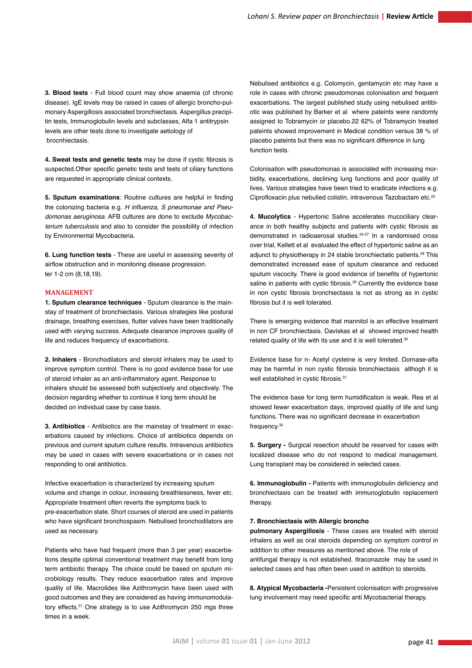**3. Blood tests** - Full blood count may show anaemia (of chronic disease). IgE levels may be raised in cases of allergic broncho-pulmonary Aspergillosis associated bronchiectasis. Aspergillus precipitin tests, Immunoglobulin levels and subclasses, Alfa 1 antitrypsin levels are other tests done to investigate aetiology of brocnhiectasis.

**4. Sweat tests and genetic tests** may be done if cystic fibrosis is suspected.Other specific genetic tests and tests of ciliary functions are requested in appropriate clinical contexts.

**5. Sputum examinations**: Routine cultures are helpful in finding the colonizing bacteria e.g. H influenza, S pneumonae and Pseu*domonas aeruginosa*. AFB cultures are done to exclude *Mycobacterium tuberculosis* and also to consider the possibility of infection by Environmental Mycobacteria.

**6. Lung function tests** - These are useful in assessing severity of airflow obstruction and in monitoring disease progression. ter 1-2 cm (8,18,19).

## **Management**

**1. Sputum clearance techniques** - Sputum clearance is the mainstay of treatment of bronchiectasis. Various strategies like postural drainage, breathing exercises, flutter valves have been traditionally used with varying success. Adequate clearance improves quality of life and reduces frequency of exacerbations.

**2. Inhalers** - Bronchodilators and steroid inhalers may be used to improve symptom control. There is no good evidence base for use of steroid inhaler as an anti-inflammatory agent. Response to inhalers should be assessed both subjectively and objectively. The decision regarding whether to continue it long term should be decided on individual case by case basis.

**3. Antibiotics** - Antibiotics are the mainstay of treatment in exacerbations caused by infections. Choice of antibiotics depends on previous and current sputum culture results. Intravenous antibiotics may be used in cases with severe exacerbations or in cases not responding to oral antibiotics.

Infective exacerbation is characterized by increasing sputum volume and change in colour, increasing breathlessness, fever etc. Appropriate treatment often reverts the symptoms back to pre-exacerbation state. Short courses of steroid are used in patients who have significant bronchospasm. Nebulised bronchodilators are used as necessary.

Patients who have had frequent (more than 3 per year) exacerbations despite optimal conventional treatment may benefit from long term antibiotic therapy. The choice could be based on sputum microbiology results. They reduce exacerbation rates and improve quality of life. Macrolides like Azithromycin have been used with good outcomes and they are considered as having immunomodulatory effects.21 One strategy is to use Azithromycin 250 mgs three times in a week.

Nebulised antibiotics e.g. Colomycin, gentamycin etc may have a role in cases with chronic pseudomonas colonisation and frequent exacerbations. The largest published study using nebulised antibiotic was published by Barker et al where pateints were randomly assigned to Tobramycin or placebo.22 62% of Tobramycin treated pateints showed improvement in Medical condition versus 38 % of placebo pateints but there was no significant difference in lung function tests.

Colonisation with pseudomonas is associated with increasing morbidity, exacerbations, declining lung functions and poor quality of lives. Various strategies have been tried to eradicate infections e.g. Ciprofloxacin plus nebulied colistin, intravenous Tazobactam etc.<sup>23</sup>

**4. Mucolytics** - Hypertonic Saline accelerates mucociliary clearance in both healthy subjects and patients with cystic fibrosis as demonstrated in radioaerosal studies.<sup>24-27</sup> In a randomised cross over trial, Kellett et al evaluated the effect of hypertonic saline as an adjunct to physiotherapy in 24 stable bronchiectatic patients.<sup>28</sup> This demonstrated increased ease of sputum clearance and reduced sputum viscocity. There is good evidence of benefits of hypertonic saline in patients with cystic fibrosis.<sup>29</sup> Currently the evidence base in non cystic fibrosis bronchiectasis is not as strong as in cystic fibrosis but it is well tolerated.

There is emerging evidence that mannitol is an effective treatment in non CF bronchiectasis. Daviskas et al showed improved health related quality of life with its use and it is well tolerated.<sup>30</sup>

Evidence base for n- Acetyl cysteine is very limited. Dornase-alfa may be harmful in non cystic fibrosis bronchiectasis althogh it is well established in cystic fibrosis.<sup>31</sup>

The evidence base for long term humidification is weak. Rea et al showed fewer exacerbation days, improved quality of life and lung functions. There was no significant decrease in exacerbation frequency.<sup>32</sup>

**5. Surgery -** Surgical resection should be reserved for cases with localized disease who do not respond to medical management. Lung transplant may be considered in selected cases.

**6. Immunoglobulin -** Patients with immunoglobulin deficiency and bronchiectasis can be treated with immunoglobulin replacement therapy.

#### **7. Bronchiectasis with Allergic broncho**

**pulmonary Aspergillosis** - These cases are treated with steroid inhalers as well as oral steroids depending on symptom control in addition to other measures as mentioned above. The role of antifungal therapy is not estabished. Itraconazole may be used in selected cases and has often been used in addition to steroids.

**8. Atypical Mycobacteria -**Persistent colonisation with progressive lung involvement may need specific anti Mycobacterial therapy.